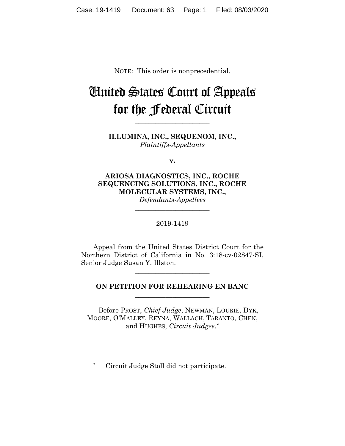NOTE: This order is nonprecedential.

## United States Court of Appeals for the Federal Circuit

**ILLUMINA, INC., SEQUENOM, INC.,** *Plaintiffs-Appellants*

**\_\_\_\_\_\_\_\_\_\_\_\_\_\_\_\_\_\_\_\_\_\_**

**v.**

**ARIOSA DIAGNOSTICS, INC., ROCHE SEQUENCING SOLUTIONS, INC., ROCHE MOLECULAR SYSTEMS, INC.,**

*Defendants-Appellees* **\_\_\_\_\_\_\_\_\_\_\_\_\_\_\_\_\_\_\_\_\_\_**

2019-1419 **\_\_\_\_\_\_\_\_\_\_\_\_\_\_\_\_\_\_\_\_\_\_**

Appeal from the United States District Court for the Northern District of California in No. 3:18-cv-02847-SI, Senior Judge Susan Y. Illston.

**\_\_\_\_\_\_\_\_\_\_\_\_\_\_\_\_\_\_\_\_\_\_**

## **ON PETITION FOR REHEARING EN BANC \_\_\_\_\_\_\_\_\_\_\_\_\_\_\_\_\_\_\_\_\_\_**

Before PROST, *Chief Judge*, NEWMAN, LOURIE, DYK, MOORE, O'MALLEY, REYNA, WALLACH, TARANTO, CHEN, and HUGHES, *Circuit Judges*.\*

<sup>\*</sup> Circuit Judge Stoll did not participate.